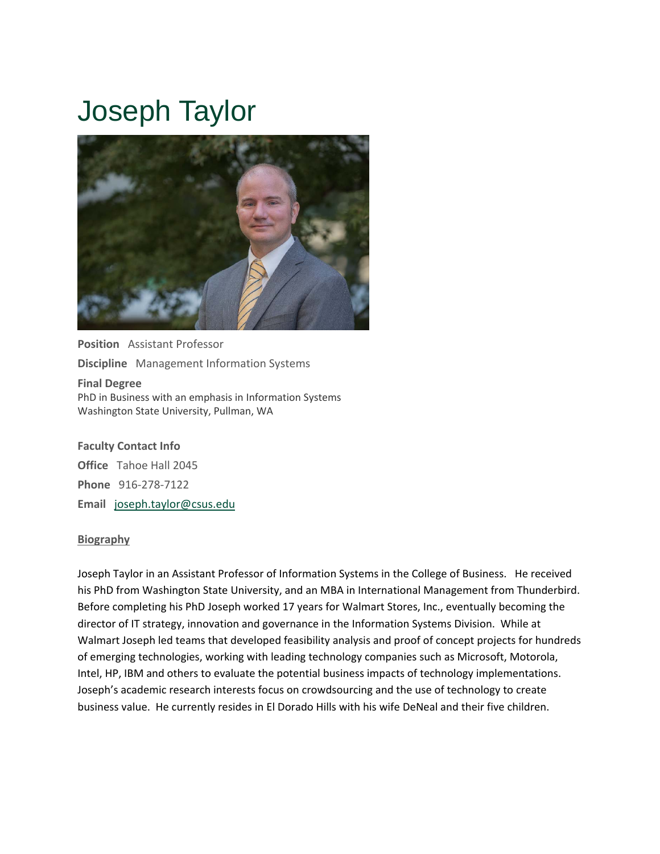# Joseph Taylor



**Position** Assistant Professor **Discipline** Management Information Systems **Final Degree** PhD in Business with an emphasis in Information Systems Washington State University, Pullman, WA

**Faculty Contact Info Office** Tahoe Hall 2045 **Phone** 916‐278‐7122 **Email** joseph.taylor@csus.edu

#### **Biography**

Joseph Taylor in an Assistant Professor of Information Systems in the College of Business. He received his PhD from Washington State University, and an MBA in International Management from Thunderbird. Before completing his PhD Joseph worked 17 years for Walmart Stores, Inc., eventually becoming the director of IT strategy, innovation and governance in the Information Systems Division. While at Walmart Joseph led teams that developed feasibility analysis and proof of concept projects for hundreds of emerging technologies, working with leading technology companies such as Microsoft, Motorola, Intel, HP, IBM and others to evaluate the potential business impacts of technology implementations. Joseph's academic research interests focus on crowdsourcing and the use of technology to create business value. He currently resides in El Dorado Hills with his wife DeNeal and their five children.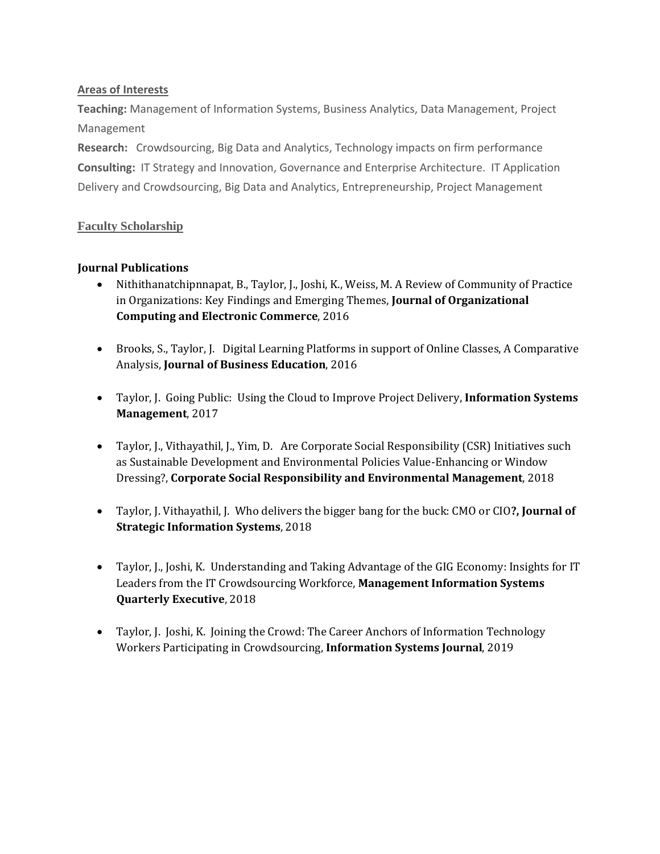## **Areas of Interests**

**Teaching:** Management of Information Systems, Business Analytics, Data Management, Project Management

**Research:** Crowdsourcing, Big Data and Analytics, Technology impacts on firm performance **Consulting:** IT Strategy and Innovation, Governance and Enterprise Architecture. IT Application Delivery and Crowdsourcing, Big Data and Analytics, Entrepreneurship, Project Management

## **Faculty Scholarship**

## **Journal Publications**

- Nithithanatchipnnapat, B., Taylor, J., Joshi, K., Weiss, M. A Review of Community of Practice in Organizations: Key Findings and Emerging Themes, **Journal of Organizational Computing and Electronic Commerce**, 2016
- Brooks, S., Taylor, J. Digital Learning Platforms in support of Online Classes, A Comparative Analysis, **Journal of Business Education**, 2016
- Taylor, J. Going Public: Using the Cloud to Improve Project Delivery, **Information Systems Management**, 2017
- Taylor, J., Vithayathil, J., Yim, D. Are Corporate Social Responsibility (CSR) Initiatives such as Sustainable Development and Environmental Policies Value‐Enhancing or Window Dressing?, **Corporate Social Responsibility and Environmental Management**, 2018
- Taylor, J. Vithayathil, J. Who delivers the bigger bang for the buck: CMO or CIO**?, Journal of Strategic Information Systems**, 2018
- Taylor, J., Joshi, K. Understanding and Taking Advantage of the GIG Economy: Insights for IT Leaders from the IT Crowdsourcing Workforce, **Management Information Systems Quarterly Executive**, 2018
- Taylor, J. Joshi, K. Joining the Crowd: The Career Anchors of Information Technology Workers Participating in Crowdsourcing, **Information Systems Journal**, 2019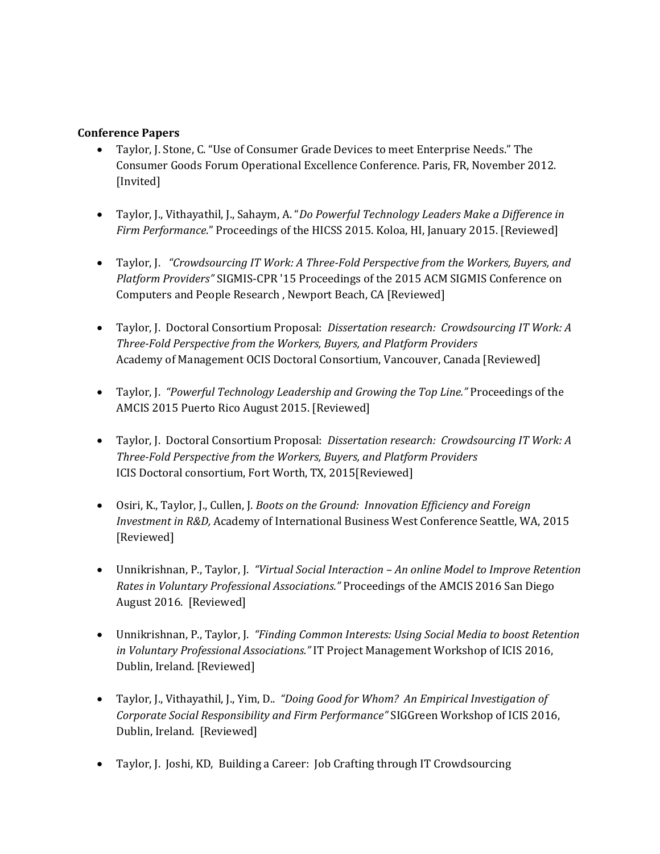### **Conference Papers**

- Taylor, J. Stone, C. "Use of Consumer Grade Devices to meet Enterprise Needs." The Consumer Goods Forum Operational Excellence Conference. Paris, FR, November 2012. [Invited]
- Taylor, J., Vithayathil, J., Sahaym, A. "*Do Powerful Technology Leaders Make a Difference in Firm Performance*." Proceedings of the HICSS 2015. Koloa, HI, January 2015. [Reviewed]
- Taylor, J. *"Crowdsourcing IT Work: A Three‐Fold Perspective from the Workers, Buyers, and Platform Providers"* SIGMIS‐CPR '15 Proceedings of the 2015 ACM SIGMIS Conference on Computers and People Research , Newport Beach, CA [Reviewed]
- Taylor, J. Doctoral Consortium Proposal: *Dissertation research: Crowdsourcing IT Work: A Three‐Fold Perspective from the Workers, Buyers, and Platform Providers* Academy of Management OCIS Doctoral Consortium, Vancouver, Canada [Reviewed]
- Taylor, J. *"Powerful Technology Leadership and Growing the Top Line."* Proceedings of the AMCIS 2015 Puerto Rico August 2015. [Reviewed]
- Taylor, J. Doctoral Consortium Proposal: *Dissertation research: Crowdsourcing IT Work: A Three‐Fold Perspective from the Workers, Buyers, and Platform Providers* ICIS Doctoral consortium, Fort Worth, TX, 2015[Reviewed]
- Osiri, K., Taylor, J., Cullen, J. *Boots on the Ground: Innovation Efficiency and Foreign Investment in R&D,* Academy of International Business West Conference Seattle, WA, 2015 [Reviewed]
- Unnikrishnan, P., Taylor, J. *"Virtual Social Interaction – An online Model to Improve Retention Rates in Voluntary Professional Associations."* Proceedings of the AMCIS 2016 San Diego August 2016. [Reviewed]
- Unnikrishnan, P., Taylor, J. *"Finding Common Interests: Using Social Media to boost Retention in Voluntary Professional Associations."* IT Project Management Workshop of ICIS 2016, Dublin, Ireland. [Reviewed]
- Taylor, J., Vithayathil, J., Yim, D.. *"Doing Good for Whom? An Empirical Investigation of Corporate Social Responsibility and Firm Performance"* SIGGreen Workshop of ICIS 2016, Dublin, Ireland. [Reviewed]
- Taylor, J. Joshi, KD, Building a Career: Job Crafting through IT Crowdsourcing